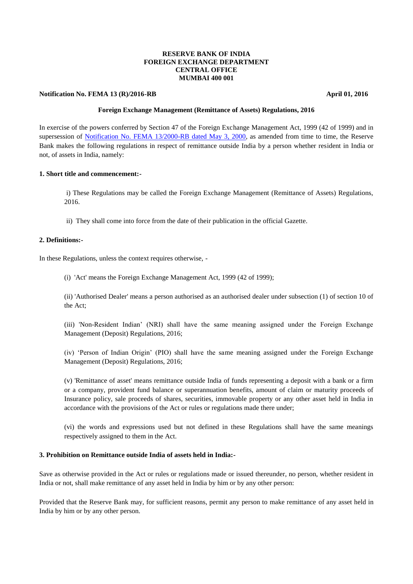### **RESERVE BANK OF INDIA FOREIGN EXCHANGE DEPARTMENT CENTRAL OFFICE MUMBAI 400 001**

### **Notification No. FEMA 13 (R)/2016-RB** April 01, 2016

### **Foreign Exchange Management (Remittance of Assets) Regulations, 2016**

In exercise of the powers conferred by Section 47 of the Foreign Exchange Management Act, 1999 (42 of 1999) and in supersession of [Notification No. FEMA 13/2000-RB dated May 3, 2000,](https://www.rbi.org.in/Scripts/BS_FemaNotifications.aspx?Id=167) as amended from time to time, the Reserve Bank makes the following regulations in respect of remittance outside India by a person whether resident in India or not, of assets in India, namely:

### **1. Short title and commencement:-**

i) These Regulations may be called the Foreign Exchange Management (Remittance of Assets) Regulations, 2016.

ii) They shall come into force from the date of their publication in the official Gazette.

#### **2. Definitions:-**

In these Regulations, unless the context requires otherwise, -

(i) 'Act' means the Foreign Exchange Management Act, 1999 (42 of 1999);

(ii) 'Authorised Dealer' means a person authorised as an authorised dealer under subsection (1) of section 10 of the Act;

(iii) 'Non-Resident Indian' (NRI) shall have the same meaning assigned under the Foreign Exchange Management (Deposit) Regulations, 2016;

(iv) 'Person of Indian Origin' (PIO) shall have the same meaning assigned under the Foreign Exchange Management (Deposit) Regulations, 2016;

(v) 'Remittance of asset' means remittance outside India of funds representing a deposit with a bank or a firm or a company, provident fund balance or superannuation benefits, amount of claim or maturity proceeds of Insurance policy, sale proceeds of shares, securities, immovable property or any other asset held in India in accordance with the provisions of the Act or rules or regulations made there under;

(vi) the words and expressions used but not defined in these Regulations shall have the same meanings respectively assigned to them in the Act.

## **3. Prohibition on Remittance outside India of assets held in India:-**

Save as otherwise provided in the Act or rules or regulations made or issued thereunder, no person, whether resident in India or not, shall make remittance of any asset held in India by him or by any other person:

Provided that the Reserve Bank may, for sufficient reasons, permit any person to make remittance of any asset held in India by him or by any other person.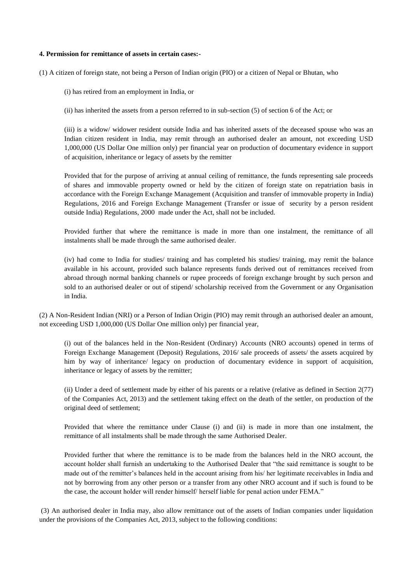#### **4. Permission for remittance of assets in certain cases:-**

(1) A citizen of foreign state, not being a Person of Indian origin (PIO) or a citizen of Nepal or Bhutan, who

(i) has retired from an employment in India, or

(ii) has inherited the assets from a person referred to in sub-section (5) of section 6 of the Act; or

(iii) is a widow/ widower resident outside India and has inherited assets of the deceased spouse who was an Indian citizen resident in India, may remit through an authorised dealer an amount, not exceeding USD 1,000,000 (US Dollar One million only) per financial year on production of documentary evidence in support of acquisition, inheritance or legacy of assets by the remitter

Provided that for the purpose of arriving at annual ceiling of remittance, the funds representing sale proceeds of shares and immovable property owned or held by the citizen of foreign state on repatriation basis in accordance with the Foreign Exchange Management (Acquisition and transfer of immovable property in India) Regulations, 2016 and Foreign Exchange Management (Transfer or issue of security by a person resident outside India) Regulations, 2000 made under the Act, shall not be included.

Provided further that where the remittance is made in more than one instalment, the remittance of all instalments shall be made through the same authorised dealer.

(iv) had come to India for studies/ training and has completed his studies/ training, may remit the balance available in his account, provided such balance represents funds derived out of remittances received from abroad through normal banking channels or rupee proceeds of foreign exchange brought by such person and sold to an authorised dealer or out of stipend/ scholarship received from the Government or any Organisation in India.

(2) A Non-Resident Indian (NRI) or a Person of Indian Origin (PIO) may remit through an authorised dealer an amount, not exceeding USD 1,000,000 (US Dollar One million only) per financial year,

(i) out of the balances held in the Non-Resident (Ordinary) Accounts (NRO accounts) opened in terms of Foreign Exchange Management (Deposit) Regulations, 2016/ sale proceeds of assets/ the assets acquired by him by way of inheritance/ legacy on production of documentary evidence in support of acquisition, inheritance or legacy of assets by the remitter;

(ii) Under a deed of settlement made by either of his parents or a relative (relative as defined in Section 2(77) of the Companies Act, 2013) and the settlement taking effect on the death of the settler, on production of the original deed of settlement;

Provided that where the remittance under Clause (i) and (ii) is made in more than one instalment, the remittance of all instalments shall be made through the same Authorised Dealer.

Provided further that where the remittance is to be made from the balances held in the NRO account, the account holder shall furnish an undertaking to the Authorised Dealer that "the said remittance is sought to be made out of the remitter's balances held in the account arising from his/ her legitimate receivables in India and not by borrowing from any other person or a transfer from any other NRO account and if such is found to be the case, the account holder will render himself/ herself liable for penal action under FEMA."

(3) An authorised dealer in India may, also allow remittance out of the assets of Indian companies under liquidation under the provisions of the Companies Act, 2013, subject to the following conditions: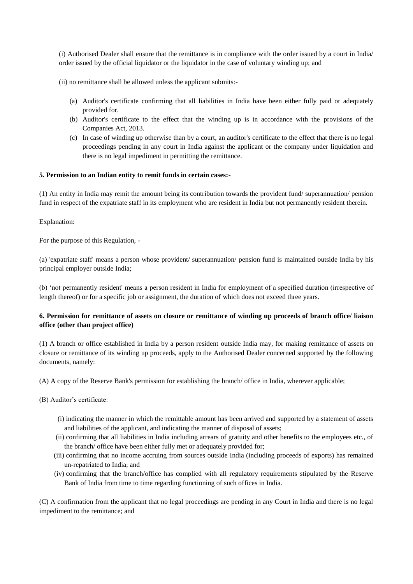(i) Authorised Dealer shall ensure that the remittance is in compliance with the order issued by a court in India/ order issued by the official liquidator or the liquidator in the case of voluntary winding up; and

(ii) no remittance shall be allowed unless the applicant submits:-

- (a) Auditor's certificate confirming that all liabilities in India have been either fully paid or adequately provided for.
- (b) Auditor's certificate to the effect that the winding up is in accordance with the provisions of the Companies Act, 2013.
- (c) In case of winding up otherwise than by a court, an auditor's certificate to the effect that there is no legal proceedings pending in any court in India against the applicant or the company under liquidation and there is no legal impediment in permitting the remittance.

## **5. Permission to an Indian entity to remit funds in certain cases:-**

(1) An entity in India may remit the amount being its contribution towards the provident fund/ superannuation/ pension fund in respect of the expatriate staff in its employment who are resident in India but not permanently resident therein.

Explanation:

For the purpose of this Regulation, -

(a) 'expatriate staff' means a person whose provident/ superannuation/ pension fund is maintained outside India by his principal employer outside India;

(b) 'not permanently resident' means a person resident in India for employment of a specified duration (irrespective of length thereof) or for a specific job or assignment, the duration of which does not exceed three years.

# **6. Permission for remittance of assets on closure or remittance of winding up proceeds of branch office/ liaison office (other than project office)**

(1) A branch or office established in India by a person resident outside India may, for making remittance of assets on closure or remittance of its winding up proceeds, apply to the Authorised Dealer concerned supported by the following documents, namely:

(A) A copy of the Reserve Bank's permission for establishing the branch/ office in India, wherever applicable;

- (B) Auditor's certificate:
	- (i) indicating the manner in which the remittable amount has been arrived and supported by a statement of assets and liabilities of the applicant, and indicating the manner of disposal of assets;
	- (ii) confirming that all liabilities in India including arrears of gratuity and other benefits to the employees etc., of the branch/ office have been either fully met or adequately provided for;
	- (iii) confirming that no income accruing from sources outside India (including proceeds of exports) has remained un-repatriated to India; and
	- (iv) confirming that the branch/office has complied with all regulatory requirements stipulated by the Reserve Bank of India from time to time regarding functioning of such offices in India.

(C) A confirmation from the applicant that no legal proceedings are pending in any Court in India and there is no legal impediment to the remittance; and